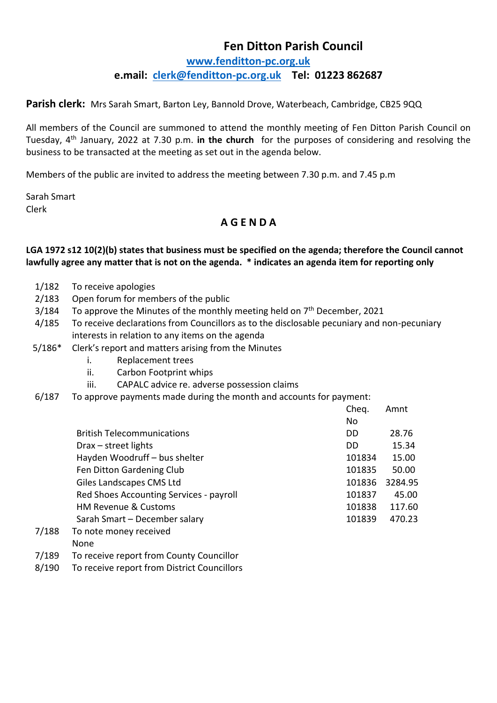## **Fen Ditton Parish Council [www.fenditton-pc.org.uk](http://www.fenditton-pc.org.uk/) e.mail: [clerk@fenditton-pc.org.uk](mailto:clerk@fenditton-pc.org.uk) Tel: 01223 862687**

**Parish clerk:** Mrs Sarah Smart, Barton Ley, Bannold Drove, Waterbeach, Cambridge, CB25 9QQ

All members of the Council are summoned to attend the monthly meeting of Fen Ditton Parish Council on Tuesday, 4th January, 2022 at 7.30 p.m. **in the church** for the purposes of considering and resolving the business to be transacted at the meeting as set out in the agenda below.

Members of the public are invited to address the meeting between 7.30 p.m. and 7.45 p.m

Sarah Smart Clerk

## **A G E N D A**

## **LGA 1972 s12 10(2)(b) states that business must be specified on the agenda; therefore the Council cannot lawfully agree any matter that is not on the agenda. \* indicates an agenda item for reporting only**

- 1/182 To receive apologies
- 2/183 Open forum for members of the public
- $3/184$  To approve the Minutes of the monthly meeting held on  $7<sup>th</sup>$  December, 2021
- 4/185 To receive declarations from Councillors as to the disclosable pecuniary and non-pecuniary interests in relation to any items on the agenda
- 5/186\* Clerk's report and matters arising from the Minutes
	- i. Replacement trees
	- ii. Carbon Footprint whips
	- iii. CAPALC advice re. adverse possession claims
- 6/187 To approve payments made during the month and accounts for payment:

|       |                                         | Cheq.          | Amnt    |
|-------|-----------------------------------------|----------------|---------|
|       |                                         | N <sub>o</sub> |         |
|       | <b>British Telecommunications</b>       | DD             | 28.76   |
|       | Drax - street lights                    | DD.            | 15.34   |
|       | Hayden Woodruff - bus shelter           | 101834         | 15.00   |
|       | Fen Ditton Gardening Club               | 101835         | 50.00   |
|       | Giles Landscapes CMS Ltd                | 101836         | 3284.95 |
|       | Red Shoes Accounting Services - payroll | 101837         | 45.00   |
|       | <b>HM Revenue &amp; Customs</b>         | 101838         | 117.60  |
|       | Sarah Smart - December salary           | 101839         | 470.23  |
| 7/188 | To note money received                  |                |         |

- None
- 7/189 To receive report from County Councillor
- 8/190 To receive report from District Councillors